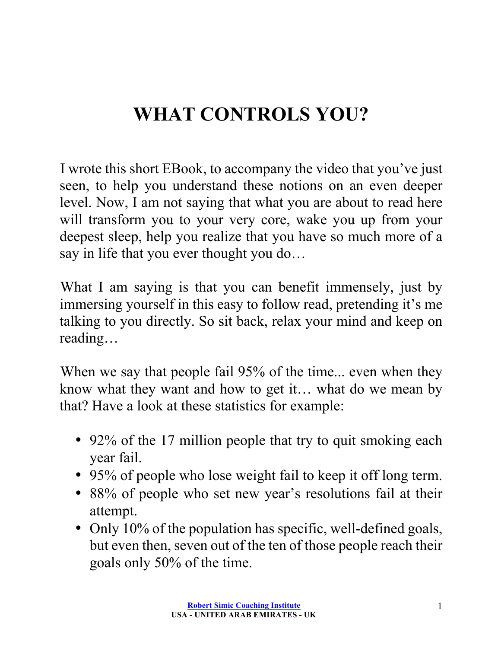# **WHAT CONTROLS YOU?**

I wrote this short EBook, to accompany the video that you've just seen, to help you understand these notions on an even deeper level. Now, I am not saying that what you are about to read here will transform you to your very core, wake you up from your deepest sleep, help you realize that you have so much more of a say in life that you ever thought you do…

What I am saying is that you can benefit immensely, just by immersing yourself in this easy to follow read, pretending it's me talking to you directly. So sit back, relax your mind and keep on reading…

When we say that people fail 95% of the time... even when they know what they want and how to get it… what do we mean by that? Have a look at these statistics for example:

- 92% of the 17 million people that try to quit smoking each year fail.
- 95% of people who lose weight fail to keep it off long term.
- 88% of people who set new year's resolutions fail at their attempt.
- Only 10% of the population has specific, well-defined goals, but even then, seven out of the ten of those people reach their goals only 50% of the time.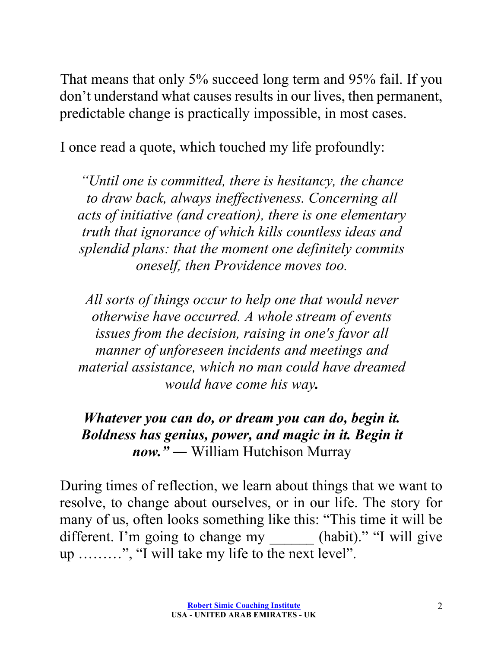That means that only 5% succeed long term and 95% fail. If you don't understand what causes results in our lives, then permanent, predictable change is practically impossible, in most cases.

I once read a quote, which touched my life profoundly:

*"Until one is committed, there is hesitancy, the chance to draw back, always ineffectiveness. Concerning all acts of initiative (and creation), there is one elementary truth that ignorance of which kills countless ideas and splendid plans: that the moment one definitely commits oneself, then Providence moves too.*

*All sorts of things occur to help one that would never otherwise have occurred. A whole stream of events issues from the decision, raising in one's favor all manner of unforeseen incidents and meetings and material assistance, which no man could have dreamed would have come his way.*

*Whatever you can do, or dream you can do, begin it. Boldness has genius, power, and magic in it. Begin it now."* ― William Hutchison Murray

During times of reflection, we learn about things that we want to resolve, to change about ourselves, or in our life. The story for many of us, often looks something like this: "This time it will be different. I'm going to change my \_\_\_\_\_\_\_ (habit)." "I will give up ………", "I will take my life to the next level".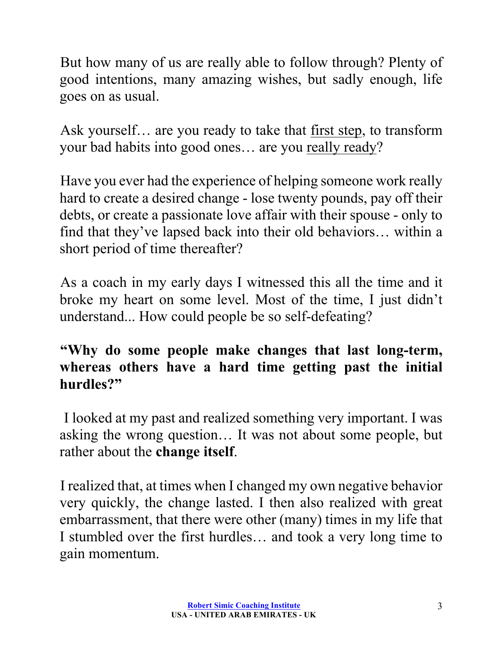But how many of us are really able to follow through? Plenty of good intentions, many amazing wishes, but sadly enough, life goes on as usual.

Ask yourself… are you ready to take that first step, to transform your bad habits into good ones… are you really ready?

Have you ever had the experience of helping someone work really hard to create a desired change - lose twenty pounds, pay off their debts, or create a passionate love affair with their spouse - only to find that they've lapsed back into their old behaviors… within a short period of time thereafter?

As a coach in my early days I witnessed this all the time and it broke my heart on some level. Most of the time, I just didn't understand... How could people be so self-defeating?

#### **"Why do some people make changes that last long-term, whereas others have a hard time getting past the initial hurdles?"**

I looked at my past and realized something very important. I was asking the wrong question… It was not about some people, but rather about the **change itself**.

I realized that, at times when I changed my own negative behavior very quickly, the change lasted. I then also realized with great embarrassment, that there were other (many) times in my life that I stumbled over the first hurdles… and took a very long time to gain momentum.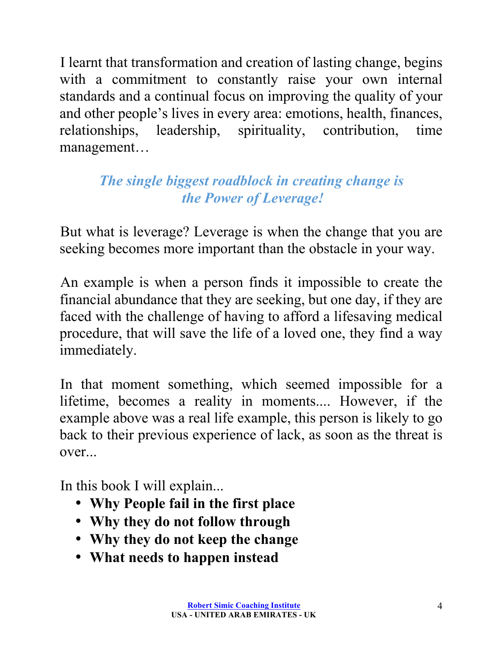I learnt that transformation and creation of lasting change, begins with a commitment to constantly raise your own internal standards and a continual focus on improving the quality of your and other people's lives in every area: emotions, health, finances, relationships, leadership, spirituality, contribution, time management…

# *The single biggest roadblock in creating change is the Power of Leverage!*

But what is leverage? Leverage is when the change that you are seeking becomes more important than the obstacle in your way.

An example is when a person finds it impossible to create the financial abundance that they are seeking, but one day, if they are faced with the challenge of having to afford a lifesaving medical procedure, that will save the life of a loved one, they find a way immediately.

In that moment something, which seemed impossible for a lifetime, becomes a reality in moments.... However, if the example above was a real life example, this person is likely to go back to their previous experience of lack, as soon as the threat is over...

In this book I will explain...

- **Why People fail in the first place**
- **Why they do not follow through**
- **Why they do not keep the change**
- **What needs to happen instead**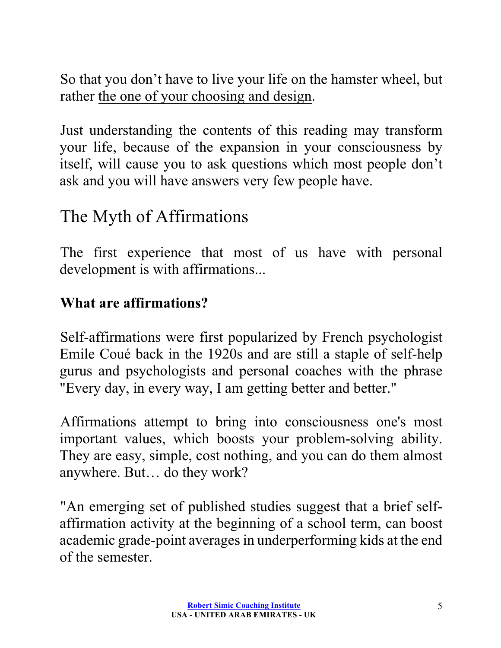So that you don't have to live your life on the hamster wheel, but rather the one of your choosing and design.

Just understanding the contents of this reading may transform your life, because of the expansion in your consciousness by itself, will cause you to ask questions which most people don't ask and you will have answers very few people have.

# The Myth of Affirmations

The first experience that most of us have with personal development is with affirmations...

#### **What are affirmations?**

Self-affirmations were first popularized by French psychologist Emile Coué back in the 1920s and are still a staple of self-help gurus and psychologists and personal coaches with the phrase "Every day, in every way, I am getting better and better."

Affirmations attempt to bring into consciousness one's most important values, which boosts your problem-solving ability. They are easy, simple, cost nothing, and you can do them almost anywhere. But… do they work?

"An emerging set of published studies suggest that a brief selfaffirmation activity at the beginning of a school term, can boost academic grade-point averages in underperforming kids at the end of the semester.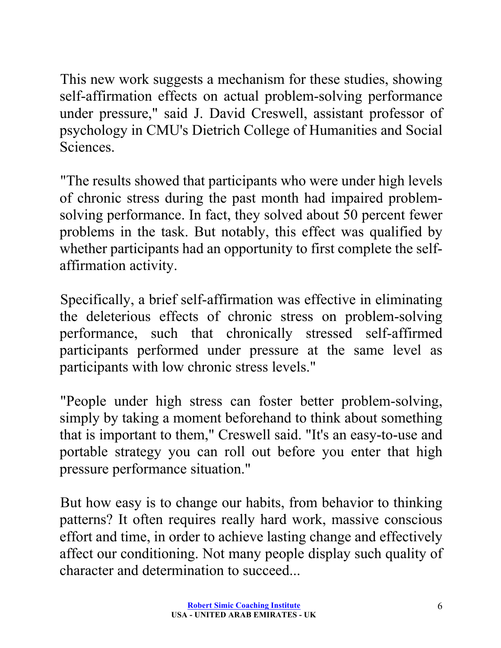This new work suggests a mechanism for these studies, showing self-affirmation effects on actual problem-solving performance under pressure," said J. David Creswell, assistant professor of psychology in CMU's Dietrich College of Humanities and Social Sciences.

"The results showed that participants who were under high levels of chronic stress during the past month had impaired problemsolving performance. In fact, they solved about 50 percent fewer problems in the task. But notably, this effect was qualified by whether participants had an opportunity to first complete the selfaffirmation activity.

Specifically, a brief self-affirmation was effective in eliminating the deleterious effects of chronic stress on problem-solving performance, such that chronically stressed self-affirmed participants performed under pressure at the same level as participants with low chronic stress levels."

"People under high stress can foster better problem-solving, simply by taking a moment beforehand to think about something that is important to them," Creswell said. "It's an easy-to-use and portable strategy you can roll out before you enter that high pressure performance situation."

But how easy is to change our habits, from behavior to thinking patterns? It often requires really hard work, massive conscious effort and time, in order to achieve lasting change and effectively affect our conditioning. Not many people display such quality of character and determination to succeed...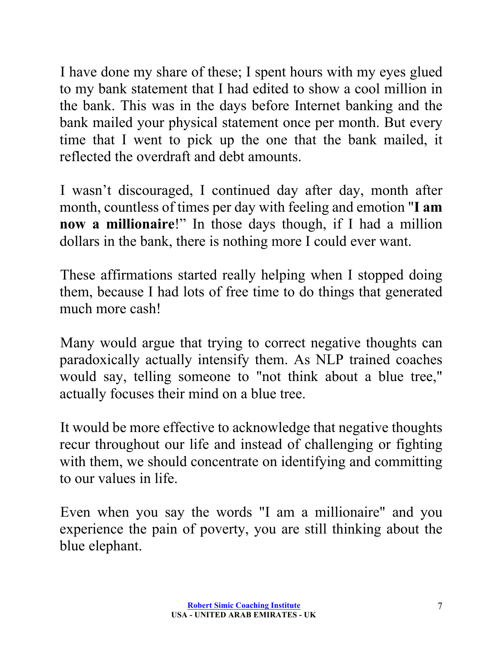I have done my share of these; I spent hours with my eyes glued to my bank statement that I had edited to show a cool million in the bank. This was in the days before Internet banking and the bank mailed your physical statement once per month. But every time that I went to pick up the one that the bank mailed, it reflected the overdraft and debt amounts.

I wasn't discouraged, I continued day after day, month after month, countless of times per day with feeling and emotion "**I am now a millionaire**!" In those days though, if I had a million dollars in the bank, there is nothing more I could ever want.

These affirmations started really helping when I stopped doing them, because I had lots of free time to do things that generated much more cash!

Many would argue that trying to correct negative thoughts can paradoxically actually intensify them. As NLP trained coaches would say, telling someone to "not think about a blue tree," actually focuses their mind on a blue tree.

It would be more effective to acknowledge that negative thoughts recur throughout our life and instead of challenging or fighting with them, we should concentrate on identifying and committing to our values in life.

Even when you say the words "I am a millionaire" and you experience the pain of poverty, you are still thinking about the blue elephant.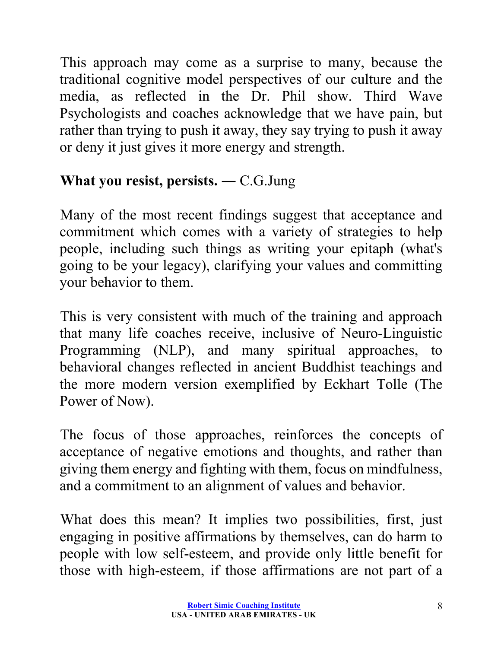This approach may come as a surprise to many, because the traditional cognitive model perspectives of our culture and the media, as reflected in the Dr. Phil show. Third Wave Psychologists and coaches acknowledge that we have pain, but rather than trying to push it away, they say trying to push it away or deny it just gives it more energy and strength.

# **What you resist, persists.** ― C.G.Jung

Many of the most recent findings suggest that acceptance and commitment which comes with a variety of strategies to help people, including such things as writing your epitaph (what's going to be your legacy), clarifying your values and committing your behavior to them.

This is very consistent with much of the training and approach that many life coaches receive, inclusive of Neuro-Linguistic Programming (NLP), and many spiritual approaches, to behavioral changes reflected in ancient Buddhist teachings and the more modern version exemplified by Eckhart Tolle (The Power of Now).

The focus of those approaches, reinforces the concepts of acceptance of negative emotions and thoughts, and rather than giving them energy and fighting with them, focus on mindfulness, and a commitment to an alignment of values and behavior.

What does this mean? It implies two possibilities, first, just engaging in positive affirmations by themselves, can do harm to people with low self-esteem, and provide only little benefit for those with high-esteem, if those affirmations are not part of a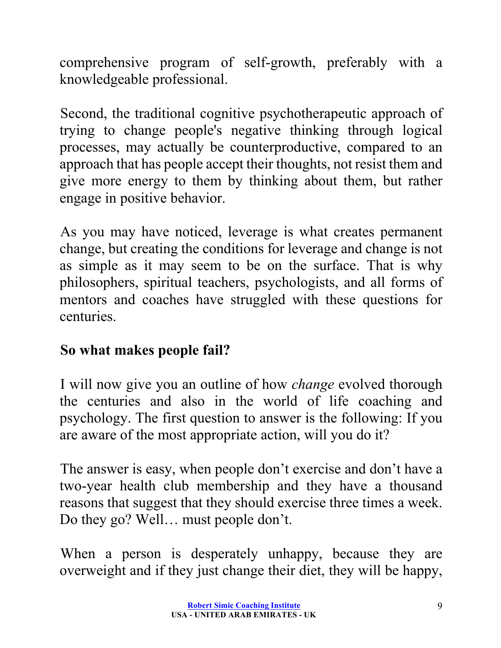comprehensive program of self-growth, preferably with a knowledgeable professional.

Second, the traditional cognitive psychotherapeutic approach of trying to change people's negative thinking through logical processes, may actually be counterproductive, compared to an approach that has people accept their thoughts, not resist them and give more energy to them by thinking about them, but rather engage in positive behavior.

As you may have noticed, leverage is what creates permanent change, but creating the conditions for leverage and change is not as simple as it may seem to be on the surface. That is why philosophers, spiritual teachers, psychologists, and all forms of mentors and coaches have struggled with these questions for centuries.

# **So what makes people fail?**

I will now give you an outline of how *change* evolved thorough the centuries and also in the world of life coaching and psychology. The first question to answer is the following: If you are aware of the most appropriate action, will you do it?

The answer is easy, when people don't exercise and don't have a two-year health club membership and they have a thousand reasons that suggest that they should exercise three times a week. Do they go? Well… must people don't.

When a person is desperately unhappy, because they are overweight and if they just change their diet, they will be happy,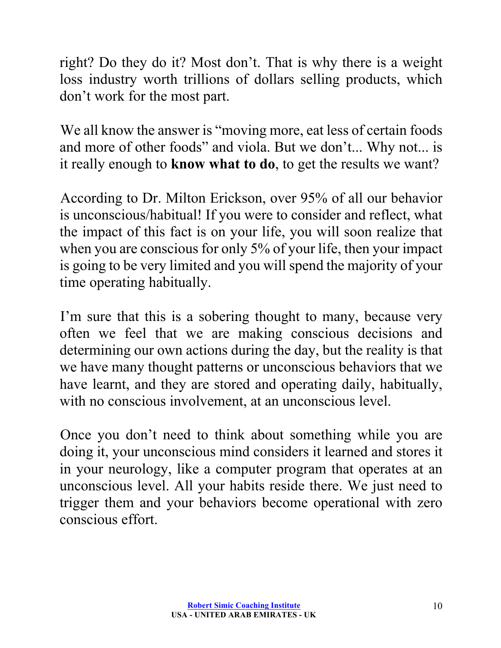right? Do they do it? Most don't. That is why there is a weight loss industry worth trillions of dollars selling products, which don't work for the most part.

We all know the answer is "moving more, eat less of certain foods" and more of other foods" and viola. But we don't... Why not... is it really enough to **know what to do**, to get the results we want?

According to Dr. Milton Erickson, over 95% of all our behavior is unconscious/habitual! If you were to consider and reflect, what the impact of this fact is on your life, you will soon realize that when you are conscious for only 5% of your life, then your impact is going to be very limited and you will spend the majority of your time operating habitually.

I'm sure that this is a sobering thought to many, because very often we feel that we are making conscious decisions and determining our own actions during the day, but the reality is that we have many thought patterns or unconscious behaviors that we have learnt, and they are stored and operating daily, habitually, with no conscious involvement, at an unconscious level.

Once you don't need to think about something while you are doing it, your unconscious mind considers it learned and stores it in your neurology, like a computer program that operates at an unconscious level. All your habits reside there. We just need to trigger them and your behaviors become operational with zero conscious effort.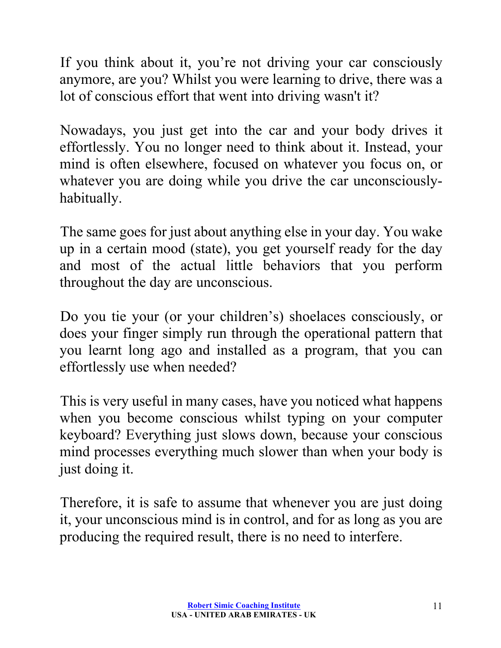If you think about it, you're not driving your car consciously anymore, are you? Whilst you were learning to drive, there was a lot of conscious effort that went into driving wasn't it?

Nowadays, you just get into the car and your body drives it effortlessly. You no longer need to think about it. Instead, your mind is often elsewhere, focused on whatever you focus on, or whatever you are doing while you drive the car unconsciouslyhabitually.

The same goes for just about anything else in your day. You wake up in a certain mood (state), you get yourself ready for the day and most of the actual little behaviors that you perform throughout the day are unconscious.

Do you tie your (or your children's) shoelaces consciously, or does your finger simply run through the operational pattern that you learnt long ago and installed as a program, that you can effortlessly use when needed?

This is very useful in many cases, have you noticed what happens when you become conscious whilst typing on your computer keyboard? Everything just slows down, because your conscious mind processes everything much slower than when your body is just doing it.

Therefore, it is safe to assume that whenever you are just doing it, your unconscious mind is in control, and for as long as you are producing the required result, there is no need to interfere.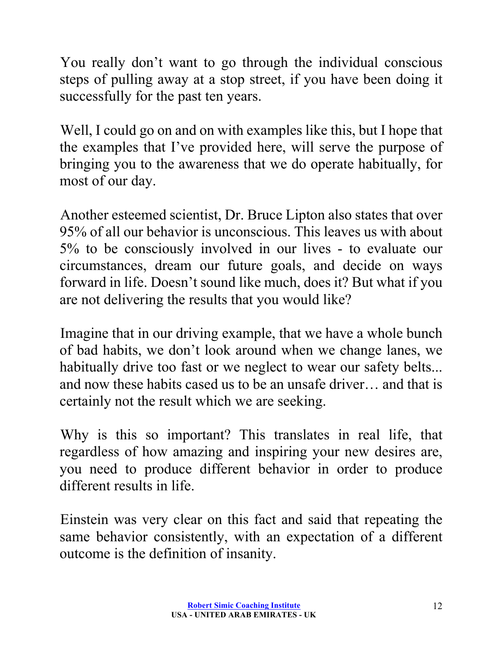You really don't want to go through the individual conscious steps of pulling away at a stop street, if you have been doing it successfully for the past ten years.

Well, I could go on and on with examples like this, but I hope that the examples that I've provided here, will serve the purpose of bringing you to the awareness that we do operate habitually, for most of our day.

Another esteemed scientist, Dr. Bruce Lipton also states that over 95% of all our behavior is unconscious. This leaves us with about 5% to be consciously involved in our lives - to evaluate our circumstances, dream our future goals, and decide on ways forward in life. Doesn't sound like much, does it? But what if you are not delivering the results that you would like?

Imagine that in our driving example, that we have a whole bunch of bad habits, we don't look around when we change lanes, we habitually drive too fast or we neglect to wear our safety belts... and now these habits cased us to be an unsafe driver… and that is certainly not the result which we are seeking.

Why is this so important? This translates in real life, that regardless of how amazing and inspiring your new desires are, you need to produce different behavior in order to produce different results in life.

Einstein was very clear on this fact and said that repeating the same behavior consistently, with an expectation of a different outcome is the definition of insanity.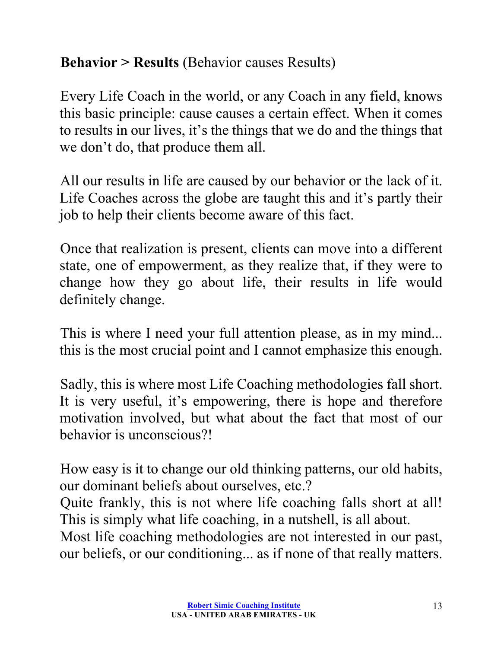## **Behavior > Results** (Behavior causes Results)

Every Life Coach in the world, or any Coach in any field, knows this basic principle: cause causes a certain effect. When it comes to results in our lives, it's the things that we do and the things that we don't do, that produce them all.

All our results in life are caused by our behavior or the lack of it. Life Coaches across the globe are taught this and it's partly their job to help their clients become aware of this fact.

Once that realization is present, clients can move into a different state, one of empowerment, as they realize that, if they were to change how they go about life, their results in life would definitely change.

This is where I need your full attention please, as in my mind... this is the most crucial point and I cannot emphasize this enough.

Sadly, this is where most Life Coaching methodologies fall short. It is very useful, it's empowering, there is hope and therefore motivation involved, but what about the fact that most of our behavior is unconscious?!

How easy is it to change our old thinking patterns, our old habits, our dominant beliefs about ourselves, etc.?

Quite frankly, this is not where life coaching falls short at all! This is simply what life coaching, in a nutshell, is all about.

Most life coaching methodologies are not interested in our past, our beliefs, or our conditioning... as if none of that really matters.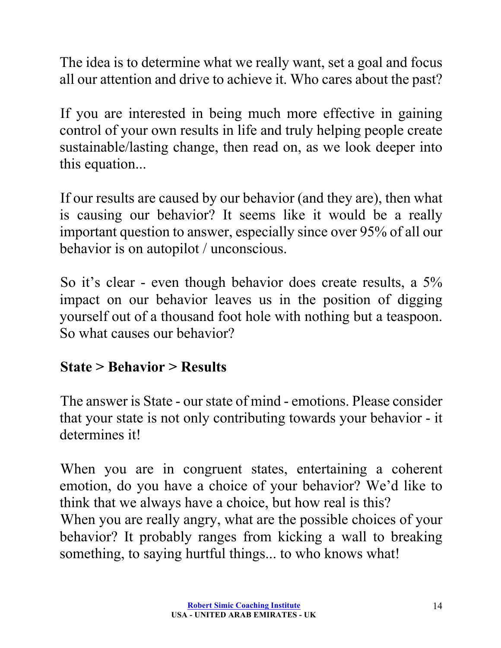The idea is to determine what we really want, set a goal and focus all our attention and drive to achieve it. Who cares about the past?

If you are interested in being much more effective in gaining control of your own results in life and truly helping people create sustainable/lasting change, then read on, as we look deeper into this equation...

If our results are caused by our behavior (and they are), then what is causing our behavior? It seems like it would be a really important question to answer, especially since over 95% of all our behavior is on autopilot / unconscious.

So it's clear - even though behavior does create results, a 5% impact on our behavior leaves us in the position of digging yourself out of a thousand foot hole with nothing but a teaspoon. So what causes our behavior?

# **State > Behavior > Results**

The answer is State - our state of mind - emotions. Please consider that your state is not only contributing towards your behavior - it determines it!

When you are in congruent states, entertaining a coherent emotion, do you have a choice of your behavior? We'd like to think that we always have a choice, but how real is this? When you are really angry, what are the possible choices of your behavior? It probably ranges from kicking a wall to breaking something, to saying hurtful things... to who knows what!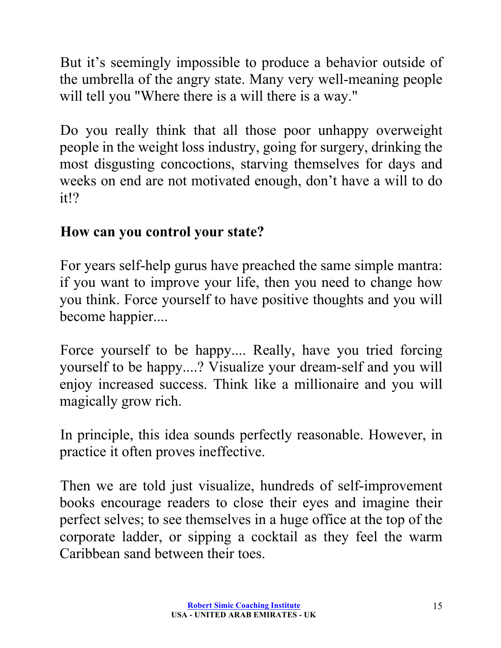But it's seemingly impossible to produce a behavior outside of the umbrella of the angry state. Many very well-meaning people will tell you "Where there is a will there is a way."

Do you really think that all those poor unhappy overweight people in the weight loss industry, going for surgery, drinking the most disgusting concoctions, starving themselves for days and weeks on end are not motivated enough, don't have a will to do it!?

#### **How can you control your state?**

For years self-help gurus have preached the same simple mantra: if you want to improve your life, then you need to change how you think. Force yourself to have positive thoughts and you will become happier....

Force yourself to be happy.... Really, have you tried forcing yourself to be happy....? Visualize your dream-self and you will enjoy increased success. Think like a millionaire and you will magically grow rich.

In principle, this idea sounds perfectly reasonable. However, in practice it often proves ineffective.

Then we are told just visualize, hundreds of self-improvement books encourage readers to close their eyes and imagine their perfect selves; to see themselves in a huge office at the top of the corporate ladder, or sipping a cocktail as they feel the warm Caribbean sand between their toes.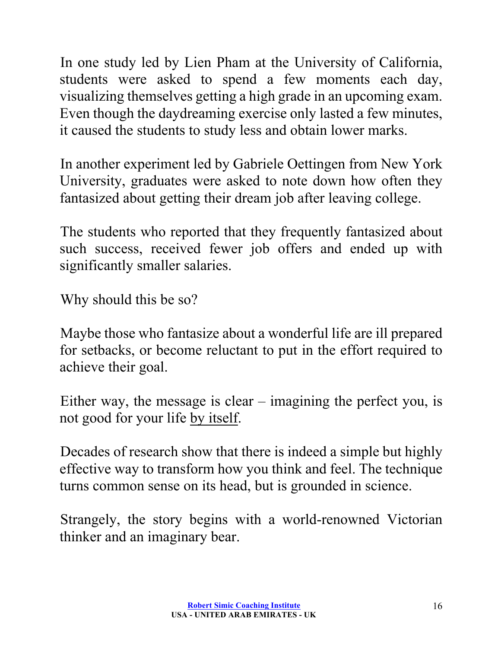In one study led by Lien Pham at the University of California, students were asked to spend a few moments each day, visualizing themselves getting a high grade in an upcoming exam. Even though the daydreaming exercise only lasted a few minutes, it caused the students to study less and obtain lower marks.

In another experiment led by Gabriele Oettingen from New York University, graduates were asked to note down how often they fantasized about getting their dream job after leaving college.

The students who reported that they frequently fantasized about such success, received fewer job offers and ended up with significantly smaller salaries.

Why should this be so?

Maybe those who fantasize about a wonderful life are ill prepared for setbacks, or become reluctant to put in the effort required to achieve their goal.

Either way, the message is clear – imagining the perfect you, is not good for your life by itself.

Decades of research show that there is indeed a simple but highly effective way to transform how you think and feel. The technique turns common sense on its head, but is grounded in science.

Strangely, the story begins with a world-renowned Victorian thinker and an imaginary bear.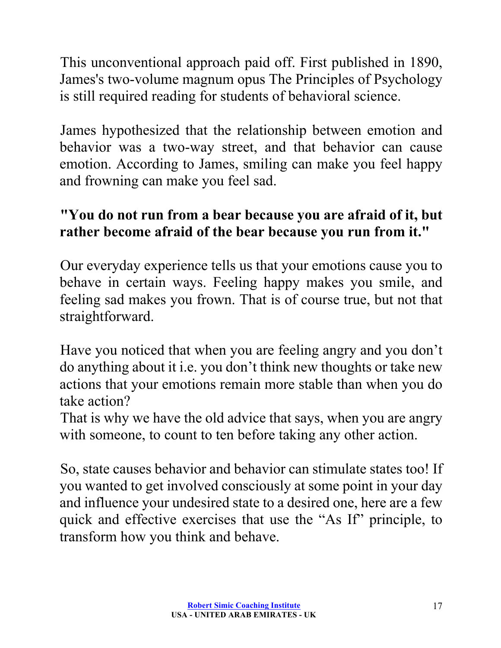This unconventional approach paid off. First published in 1890, James's two-volume magnum opus The Principles of Psychology is still required reading for students of behavioral science.

James hypothesized that the relationship between emotion and behavior was a two-way street, and that behavior can cause emotion. According to James, smiling can make you feel happy and frowning can make you feel sad.

# **"You do not run from a bear because you are afraid of it, but rather become afraid of the bear because you run from it."**

Our everyday experience tells us that your emotions cause you to behave in certain ways. Feeling happy makes you smile, and feeling sad makes you frown. That is of course true, but not that straightforward.

Have you noticed that when you are feeling angry and you don't do anything about it i.e. you don't think new thoughts or take new actions that your emotions remain more stable than when you do take action?

That is why we have the old advice that says, when you are angry with someone, to count to ten before taking any other action.

So, state causes behavior and behavior can stimulate states too! If you wanted to get involved consciously at some point in your day and influence your undesired state to a desired one, here are a few quick and effective exercises that use the "As If" principle, to transform how you think and behave.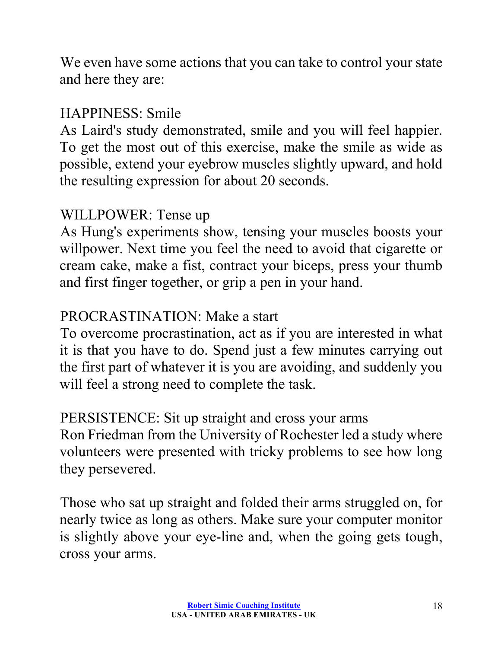We even have some actions that you can take to control your state and here they are:

#### HAPPINESS: Smile

As Laird's study demonstrated, smile and you will feel happier. To get the most out of this exercise, make the smile as wide as possible, extend your eyebrow muscles slightly upward, and hold the resulting expression for about 20 seconds.

#### WILLPOWER: Tense up

As Hung's experiments show, tensing your muscles boosts your willpower. Next time you feel the need to avoid that cigarette or cream cake, make a fist, contract your biceps, press your thumb and first finger together, or grip a pen in your hand.

# PROCRASTINATION: Make a start

To overcome procrastination, act as if you are interested in what it is that you have to do. Spend just a few minutes carrying out the first part of whatever it is you are avoiding, and suddenly you will feel a strong need to complete the task.

PERSISTENCE: Sit up straight and cross your arms Ron Friedman from the University of Rochester led a study where volunteers were presented with tricky problems to see how long they persevered.

Those who sat up straight and folded their arms struggled on, for nearly twice as long as others. Make sure your computer monitor is slightly above your eye-line and, when the going gets tough, cross your arms.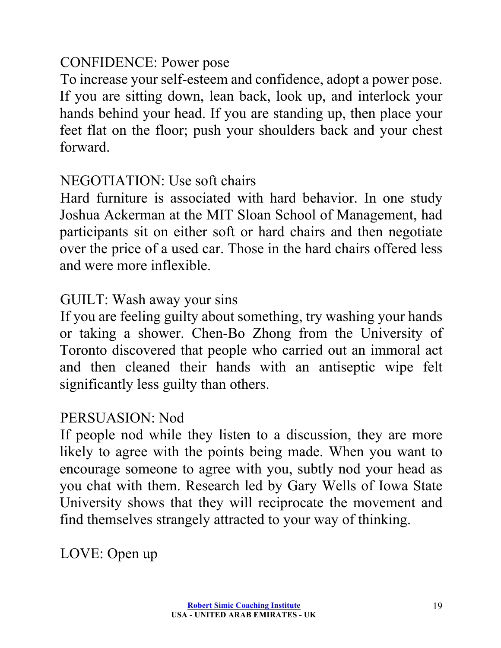#### CONFIDENCE: Power pose

To increase your self-esteem and confidence, adopt a power pose. If you are sitting down, lean back, look up, and interlock your hands behind your head. If you are standing up, then place your feet flat on the floor; push your shoulders back and your chest forward.

#### NEGOTIATION: Use soft chairs

Hard furniture is associated with hard behavior. In one study Joshua Ackerman at the MIT Sloan School of Management, had participants sit on either soft or hard chairs and then negotiate over the price of a used car. Those in the hard chairs offered less and were more inflexible.

#### GUILT: Wash away your sins

If you are feeling guilty about something, try washing your hands or taking a shower. Chen-Bo Zhong from the University of Toronto discovered that people who carried out an immoral act and then cleaned their hands with an antiseptic wipe felt significantly less guilty than others.

#### PERSUASION: Nod

If people nod while they listen to a discussion, they are more likely to agree with the points being made. When you want to encourage someone to agree with you, subtly nod your head as you chat with them. Research led by Gary Wells of Iowa State University shows that they will reciprocate the movement and find themselves strangely attracted to your way of thinking.

LOVE: Open up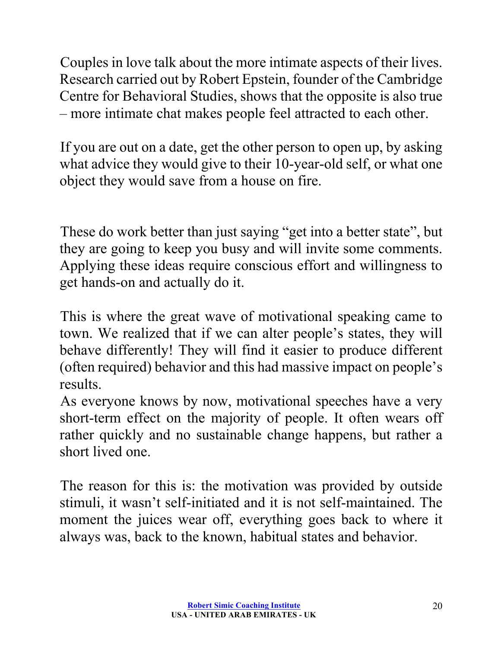Couples in love talk about the more intimate aspects of their lives. Research carried out by Robert Epstein, founder of the Cambridge Centre for Behavioral Studies, shows that the opposite is also true – more intimate chat makes people feel attracted to each other.

If you are out on a date, get the other person to open up, by asking what advice they would give to their 10-year-old self, or what one object they would save from a house on fire.

These do work better than just saying "get into a better state", but they are going to keep you busy and will invite some comments. Applying these ideas require conscious effort and willingness to get hands-on and actually do it.

This is where the great wave of motivational speaking came to town. We realized that if we can alter people's states, they will behave differently! They will find it easier to produce different (often required) behavior and this had massive impact on people's results.

As everyone knows by now, motivational speeches have a very short-term effect on the majority of people. It often wears off rather quickly and no sustainable change happens, but rather a short lived one.

The reason for this is: the motivation was provided by outside stimuli, it wasn't self-initiated and it is not self-maintained. The moment the juices wear off, everything goes back to where it always was, back to the known, habitual states and behavior.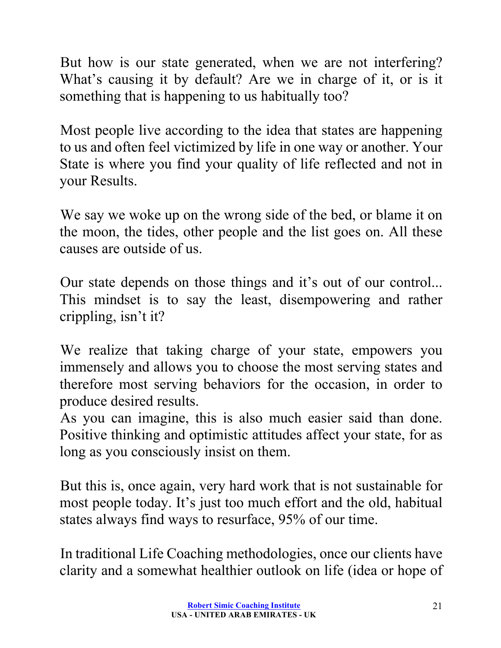But how is our state generated, when we are not interfering? What's causing it by default? Are we in charge of it, or is it something that is happening to us habitually too?

Most people live according to the idea that states are happening to us and often feel victimized by life in one way or another. Your State is where you find your quality of life reflected and not in your Results.

We say we woke up on the wrong side of the bed, or blame it on the moon, the tides, other people and the list goes on. All these causes are outside of us.

Our state depends on those things and it's out of our control... This mindset is to say the least, disempowering and rather crippling, isn't it?

We realize that taking charge of your state, empowers you immensely and allows you to choose the most serving states and therefore most serving behaviors for the occasion, in order to produce desired results.

As you can imagine, this is also much easier said than done. Positive thinking and optimistic attitudes affect your state, for as long as you consciously insist on them.

But this is, once again, very hard work that is not sustainable for most people today. It's just too much effort and the old, habitual states always find ways to resurface, 95% of our time.

In traditional Life Coaching methodologies, once our clients have clarity and a somewhat healthier outlook on life (idea or hope of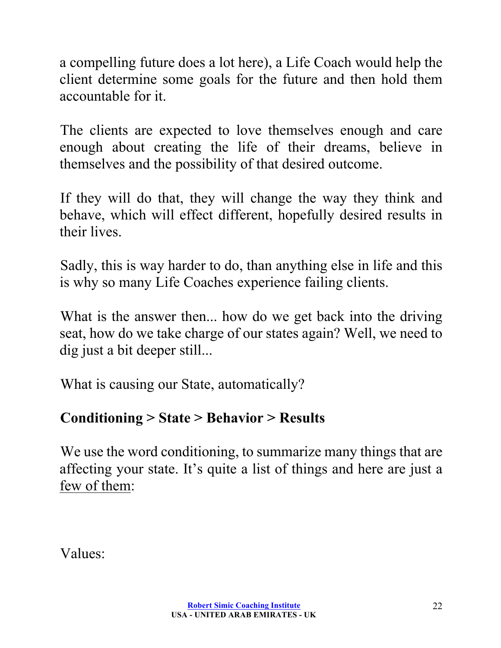a compelling future does a lot here), a Life Coach would help the client determine some goals for the future and then hold them accountable for it.

The clients are expected to love themselves enough and care enough about creating the life of their dreams, believe in themselves and the possibility of that desired outcome.

If they will do that, they will change the way they think and behave, which will effect different, hopefully desired results in their lives.

Sadly, this is way harder to do, than anything else in life and this is why so many Life Coaches experience failing clients.

What is the answer then... how do we get back into the driving seat, how do we take charge of our states again? Well, we need to dig just a bit deeper still...

What is causing our State, automatically?

# **Conditioning > State > Behavior > Results**

We use the word conditioning, to summarize many things that are affecting your state. It's quite a list of things and here are just a few of them:

Values: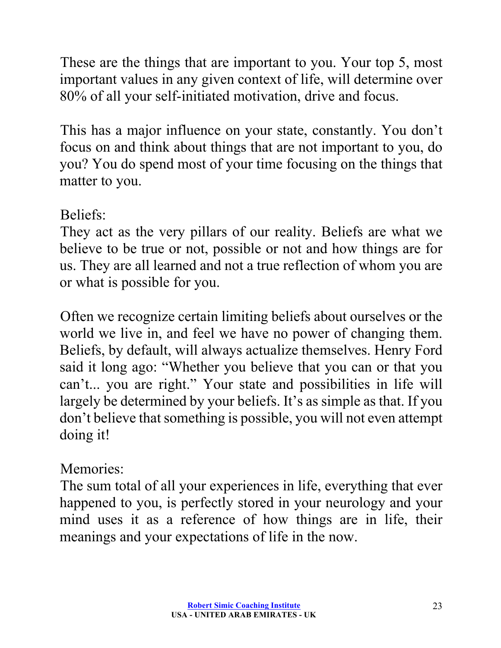These are the things that are important to you. Your top 5, most important values in any given context of life, will determine over 80% of all your self-initiated motivation, drive and focus.

This has a major influence on your state, constantly. You don't focus on and think about things that are not important to you, do you? You do spend most of your time focusing on the things that matter to you.

#### Beliefs:

They act as the very pillars of our reality. Beliefs are what we believe to be true or not, possible or not and how things are for us. They are all learned and not a true reflection of whom you are or what is possible for you.

Often we recognize certain limiting beliefs about ourselves or the world we live in, and feel we have no power of changing them. Beliefs, by default, will always actualize themselves. Henry Ford said it long ago: "Whether you believe that you can or that you can't... you are right." Your state and possibilities in life will largely be determined by your beliefs. It's as simple as that. If you don't believe that something is possible, you will not even attempt doing it!

## Memories:

The sum total of all your experiences in life, everything that ever happened to you, is perfectly stored in your neurology and your mind uses it as a reference of how things are in life, their meanings and your expectations of life in the now.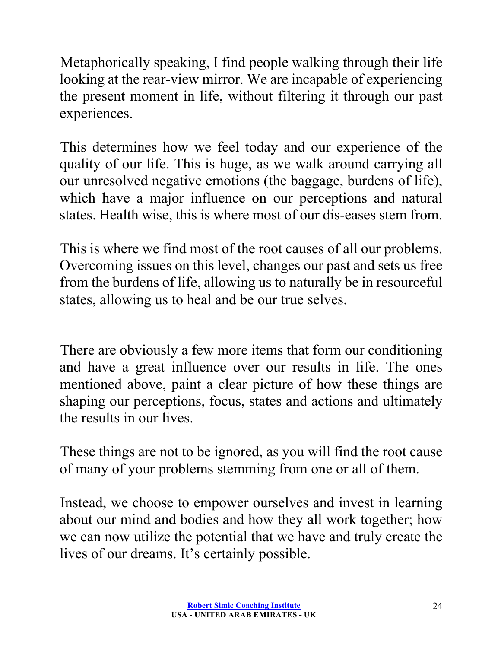Metaphorically speaking, I find people walking through their life looking at the rear-view mirror. We are incapable of experiencing the present moment in life, without filtering it through our past experiences.

This determines how we feel today and our experience of the quality of our life. This is huge, as we walk around carrying all our unresolved negative emotions (the baggage, burdens of life), which have a major influence on our perceptions and natural states. Health wise, this is where most of our dis-eases stem from.

This is where we find most of the root causes of all our problems. Overcoming issues on this level, changes our past and sets us free from the burdens of life, allowing us to naturally be in resourceful states, allowing us to heal and be our true selves.

There are obviously a few more items that form our conditioning and have a great influence over our results in life. The ones mentioned above, paint a clear picture of how these things are shaping our perceptions, focus, states and actions and ultimately the results in our lives.

These things are not to be ignored, as you will find the root cause of many of your problems stemming from one or all of them.

Instead, we choose to empower ourselves and invest in learning about our mind and bodies and how they all work together; how we can now utilize the potential that we have and truly create the lives of our dreams. It's certainly possible.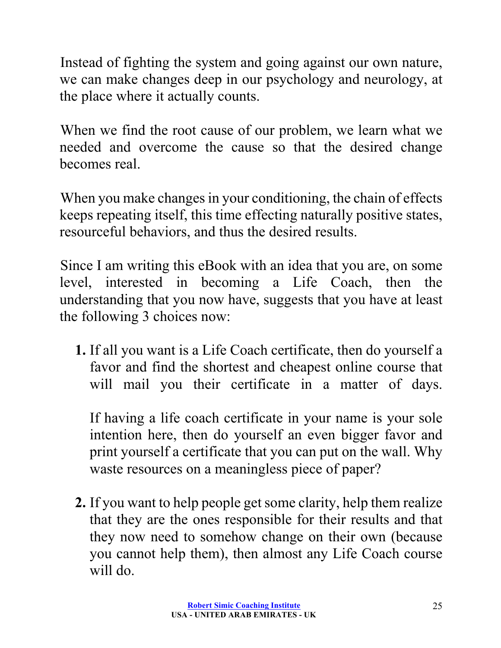Instead of fighting the system and going against our own nature, we can make changes deep in our psychology and neurology, at the place where it actually counts.

When we find the root cause of our problem, we learn what we needed and overcome the cause so that the desired change becomes real.

When you make changes in your conditioning, the chain of effects keeps repeating itself, this time effecting naturally positive states, resourceful behaviors, and thus the desired results.

Since I am writing this eBook with an idea that you are, on some level, interested in becoming a Life Coach, then the understanding that you now have, suggests that you have at least the following 3 choices now:

**1.** If all you want is a Life Coach certificate, then do yourself a favor and find the shortest and cheapest online course that will mail you their certificate in a matter of days.

If having a life coach certificate in your name is your sole intention here, then do yourself an even bigger favor and print yourself a certificate that you can put on the wall. Why waste resources on a meaningless piece of paper?

**2.** If you want to help people get some clarity, help them realize that they are the ones responsible for their results and that they now need to somehow change on their own (because you cannot help them), then almost any Life Coach course will do.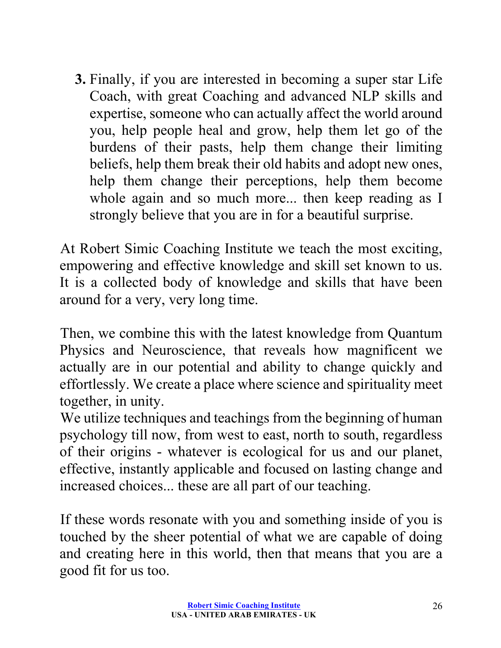**3.** Finally, if you are interested in becoming a super star Life Coach, with great Coaching and advanced NLP skills and expertise, someone who can actually affect the world around you, help people heal and grow, help them let go of the burdens of their pasts, help them change their limiting beliefs, help them break their old habits and adopt new ones, help them change their perceptions, help them become whole again and so much more... then keep reading as I strongly believe that you are in for a beautiful surprise.

At Robert Simic Coaching Institute we teach the most exciting, empowering and effective knowledge and skill set known to us. It is a collected body of knowledge and skills that have been around for a very, very long time.

Then, we combine this with the latest knowledge from Quantum Physics and Neuroscience, that reveals how magnificent we actually are in our potential and ability to change quickly and effortlessly. We create a place where science and spirituality meet together, in unity.

We utilize techniques and teachings from the beginning of human psychology till now, from west to east, north to south, regardless of their origins - whatever is ecological for us and our planet, effective, instantly applicable and focused on lasting change and increased choices... these are all part of our teaching.

If these words resonate with you and something inside of you is touched by the sheer potential of what we are capable of doing and creating here in this world, then that means that you are a good fit for us too.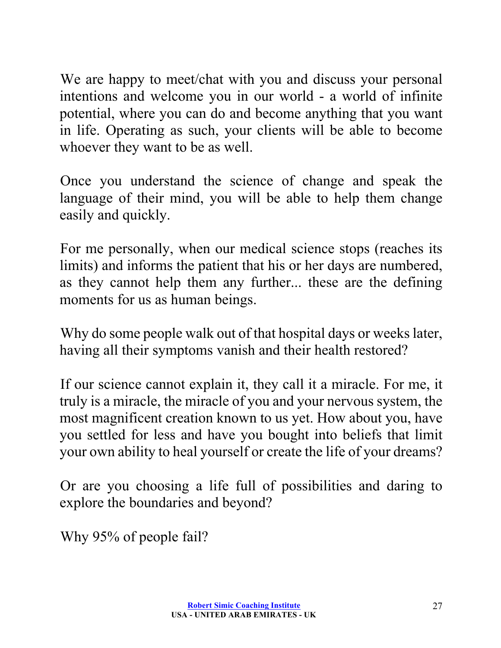We are happy to meet/chat with you and discuss your personal intentions and welcome you in our world - a world of infinite potential, where you can do and become anything that you want in life. Operating as such, your clients will be able to become whoever they want to be as well.

Once you understand the science of change and speak the language of their mind, you will be able to help them change easily and quickly.

For me personally, when our medical science stops (reaches its limits) and informs the patient that his or her days are numbered, as they cannot help them any further... these are the defining moments for us as human beings.

Why do some people walk out of that hospital days or weeks later, having all their symptoms vanish and their health restored?

If our science cannot explain it, they call it a miracle. For me, it truly is a miracle, the miracle of you and your nervous system, the most magnificent creation known to us yet. How about you, have you settled for less and have you bought into beliefs that limit your own ability to heal yourself or create the life of your dreams?

Or are you choosing a life full of possibilities and daring to explore the boundaries and beyond?

Why 95% of people fail?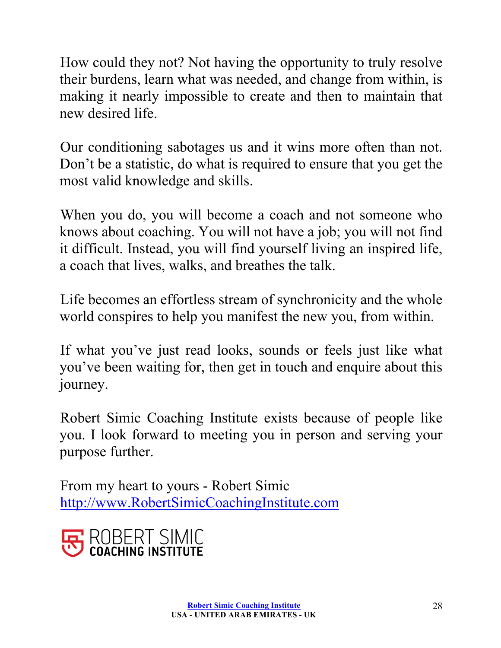How could they not? Not having the opportunity to truly resolve their burdens, learn what was needed, and change from within, is making it nearly impossible to create and then to maintain that new desired life.

Our conditioning sabotages us and it wins more often than not. Don't be a statistic, do what is required to ensure that you get the most valid knowledge and skills.

When you do, you will become a coach and not someone who knows about coaching. You will not have a job; you will not find it difficult. Instead, you will find yourself living an inspired life, a coach that lives, walks, and breathes the talk.

Life becomes an effortless stream of synchronicity and the whole world conspires to help you manifest the new you, from within.

If what you've just read looks, sounds or feels just like what you've been waiting for, then get in touch and enquire about this journey.

Robert Simic Coaching Institute exists because of people like you. I look forward to meeting you in person and serving your purpose further.

From my heart to yours - Robert Simic http://www.RobertSimicCoachingInstitute.com

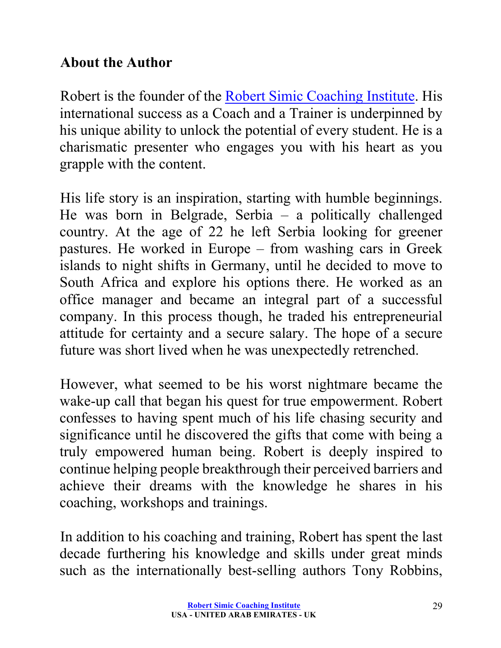### **About the Author**

Robert is the founder of the Robert Simic Coaching Institute. His international success as a Coach and a Trainer is underpinned by his unique ability to unlock the potential of every student. He is a charismatic presenter who engages you with his heart as you grapple with the content.

His life story is an inspiration, starting with humble beginnings. He was born in Belgrade, Serbia – a politically challenged country. At the age of 22 he left Serbia looking for greener pastures. He worked in Europe – from washing cars in Greek islands to night shifts in Germany, until he decided to move to South Africa and explore his options there. He worked as an office manager and became an integral part of a successful company. In this process though, he traded his entrepreneurial attitude for certainty and a secure salary. The hope of a secure future was short lived when he was unexpectedly retrenched.

However, what seemed to be his worst nightmare became the wake-up call that began his quest for true empowerment. Robert confesses to having spent much of his life chasing security and significance until he discovered the gifts that come with being a truly empowered human being. Robert is deeply inspired to continue helping people breakthrough their perceived barriers and achieve their dreams with the knowledge he shares in his coaching, workshops and trainings.

In addition to his coaching and training, Robert has spent the last decade furthering his knowledge and skills under great minds such as the internationally best-selling authors Tony Robbins,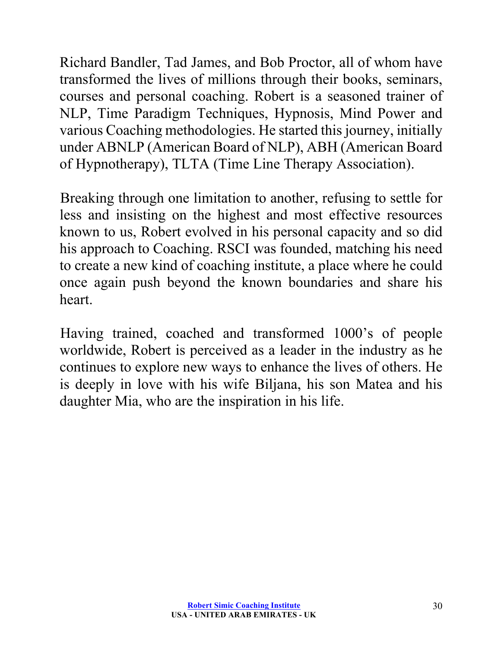Richard Bandler, Tad James, and Bob Proctor, all of whom have transformed the lives of millions through their books, seminars, courses and personal coaching. Robert is a seasoned trainer of NLP, Time Paradigm Techniques, Hypnosis, Mind Power and various Coaching methodologies. He started this journey, initially under ABNLP (American Board of NLP), ABH (American Board of Hypnotherapy), TLTA (Time Line Therapy Association).

Breaking through one limitation to another, refusing to settle for less and insisting on the highest and most effective resources known to us, Robert evolved in his personal capacity and so did his approach to Coaching. RSCI was founded, matching his need to create a new kind of coaching institute, a place where he could once again push beyond the known boundaries and share his heart.

Having trained, coached and transformed 1000's of people worldwide, Robert is perceived as a leader in the industry as he continues to explore new ways to enhance the lives of others. He is deeply in love with his wife Biljana, his son Matea and his daughter Mia, who are the inspiration in his life.